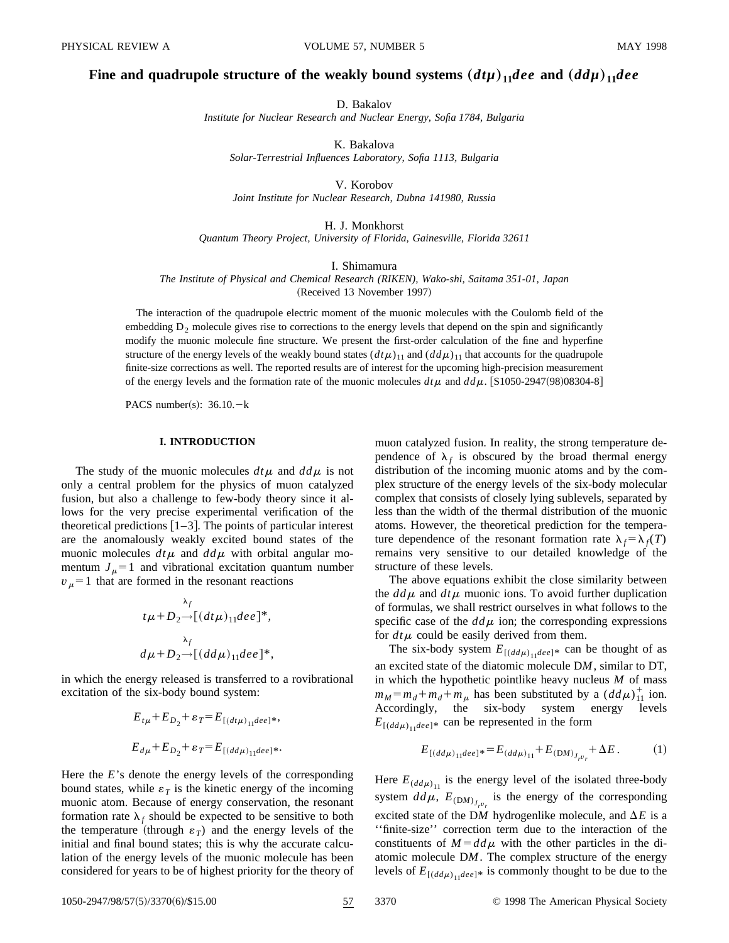## **Fine and quadrupole structure of the weakly bound systems**  $(d\mu)_{11}$  **dee and**  $(d\mu)_{11}$  **dee**

D. Bakalov

*Institute for Nuclear Research and Nuclear Energy, Sofia 1784, Bulgaria*

K. Bakalova *Solar-Terrestrial Influences Laboratory, Sofia 1113, Bulgaria*

V. Korobov

*Joint Institute for Nuclear Research, Dubna 141980, Russia*

H. J. Monkhorst

*Quantum Theory Project, University of Florida, Gainesville, Florida 32611*

I. Shimamura

*The Institute of Physical and Chemical Research (RIKEN), Wako-shi, Saitama 351-01, Japan*

(Received 13 November 1997)

The interaction of the quadrupole electric moment of the muonic molecules with the Coulomb field of the embedding  $D_2$  molecule gives rise to corrections to the energy levels that depend on the spin and significantly modify the muonic molecule fine structure. We present the first-order calculation of the fine and hyperfine structure of the energy levels of the weakly bound states  $(d\mu)_{11}$  and  $(d\mu)_{11}$  that accounts for the quadrupole finite-size corrections as well. The reported results are of interest for the upcoming high-precision measurement of the energy levels and the formation rate of the muonic molecules  $d\tau$  and  $d d\mu$ . [S1050-2947(98)08304-8]

PACS number(s):  $36.10 - k$ 

### **I. INTRODUCTION**

The study of the muonic molecules  $dt\mu$  and  $dd\mu$  is not only a central problem for the physics of muon catalyzed fusion, but also a challenge to few-body theory since it allows for the very precise experimental verification of the theoretical predictions  $[1-3]$ . The points of particular interest are the anomalously weakly excited bound states of the muonic molecules  $dt\mu$  and  $dd\mu$  with orbital angular momentum  $J_{\mu}$ =1 and vibrational excitation quantum number  $v_\mu$ =1 that are formed in the resonant reactions

$$
\Lambda_f
$$
  
\n
$$
t\mu + D_2 \rightarrow [(dt\mu)_{11}dee]^*,
$$
  
\n
$$
\Lambda_f
$$
  
\n
$$
d\mu + D_2 \rightarrow [(dd\mu)_{11}dee]^*,
$$

in which the energy released is transferred to a rovibrational excitation of the six-body bound system:

$$
E_{t\mu} + E_{D_2} + \varepsilon_T = E_{[(dt\mu)_{11}dee]*},
$$
  

$$
E_{d\mu} + E_{D_2} + \varepsilon_T = E_{[(dd\mu)_{11}dee]*}.
$$

Here the *E*'s denote the energy levels of the corresponding bound states, while  $\varepsilon_T$  is the kinetic energy of the incoming muonic atom. Because of energy conservation, the resonant formation rate  $\lambda_f$  should be expected to be sensitive to both the temperature (through  $\varepsilon_T$ ) and the energy levels of the initial and final bound states; this is why the accurate calculation of the energy levels of the muonic molecule has been considered for years to be of highest priority for the theory of muon catalyzed fusion. In reality, the strong temperature dependence of  $\lambda_f$  is obscured by the broad thermal energy distribution of the incoming muonic atoms and by the complex structure of the energy levels of the six-body molecular complex that consists of closely lying sublevels, separated by less than the width of the thermal distribution of the muonic atoms. However, the theoretical prediction for the temperature dependence of the resonant formation rate  $\lambda_f = \lambda_f(T)$ remains very sensitive to our detailed knowledge of the structure of these levels.

The above equations exhibit the close similarity between the  $dd\mu$  and  $dt\mu$  muonic ions. To avoid further duplication of formulas, we shall restrict ourselves in what follows to the specific case of the  $d d\mu$  ion; the corresponding expressions for  $dt\mu$  could be easily derived from them.

The six-body system  $E_{[(dd\mu)_{11}dee]^*}$  can be thought of as an excited state of the diatomic molecule D*M*, similar to DT, in which the hypothetic pointlike heavy nucleus *M* of mass  $m_M = m_d + m_d + m_\mu$  has been substituted by a  $(dd\mu)_{11}^+$  ion. Accordingly, the six-body system energy levels  $E_{[(dd\mu)_{11}dee]}$  can be represented in the form

$$
E_{[(dd\mu)]_1}^{\text{de}} = E_{(dd\mu)]_1} + E_{(DM)}^{\text{de}} + \Delta E. \tag{1}
$$

Here  $E_{(dd\mu)_{11}}$  is the energy level of the isolated three-body system  $dd\mu$ ,  $E_{(DM)_{J_r v_r}}$  is the energy of the corresponding excited state of the DM hydrogenlike molecule, and  $\Delta E$  is a ''finite-size'' correction term due to the interaction of the constituents of  $M = dd\mu$  with the other particles in the diatomic molecule D*M*. The complex structure of the energy levels of  $E_{[(dd\mu)]_1dee]^*}$  is commonly thought to be due to the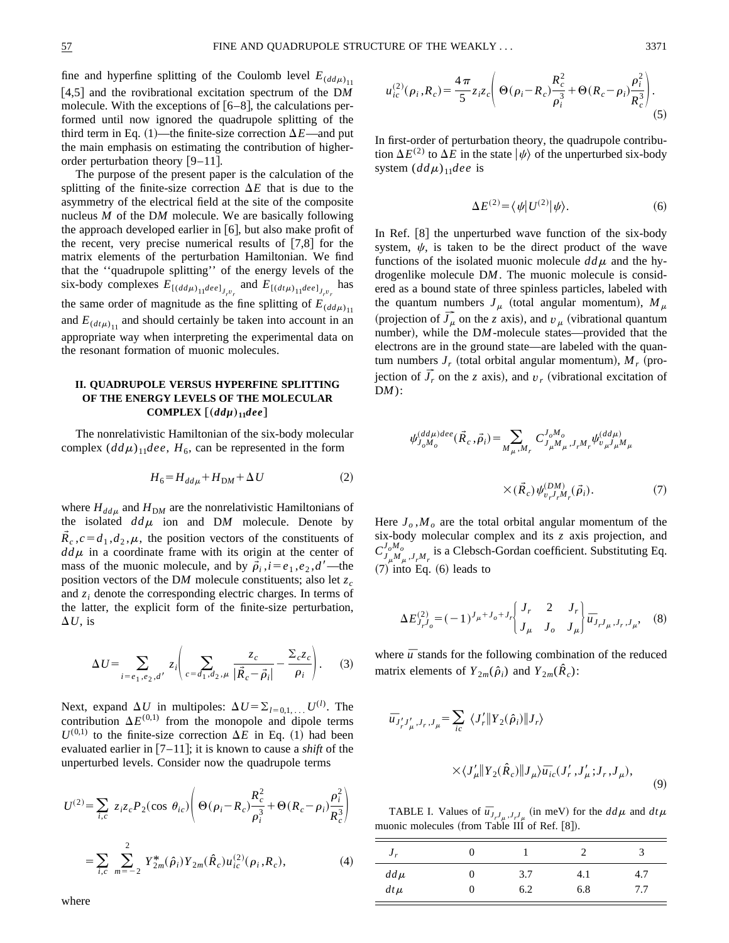fine and hyperfine splitting of the Coulomb level  $E_{(dd\mu)_{11}}$ [4,5] and the rovibrational excitation spectrum of the DM molecule. With the exceptions of  $[6–8]$ , the calculations performed until now ignored the quadrupole splitting of the third term in Eq.  $(1)$ —the finite-size correction  $\Delta E$ —and put the main emphasis on estimating the contribution of higherorder perturbation theory  $[9-11]$ .

The purpose of the present paper is the calculation of the splitting of the finite-size correction  $\Delta E$  that is due to the asymmetry of the electrical field at the site of the composite nucleus *M* of the D*M* molecule. We are basically following the approach developed earlier in  $[6]$ , but also make profit of the recent, very precise numerical results of  $[7,8]$  for the matrix elements of the perturbation Hamiltonian. We find that the ''quadrupole splitting'' of the energy levels of the six-body complexes  $E_{[(dd\mu)]1deelJ_r v_r}$  and  $E_{[(dt\mu)]1deelJ_r v_r}$  has the same order of magnitude as the fine splitting of  $E_{(dd\mu)_{11}}$ and  $E_{(dt\mu)_{11}}$  and should certainly be taken into account in an appropriate way when interpreting the experimental data on the resonant formation of muonic molecules.

# **II. QUADRUPOLE VERSUS HYPERFINE SPLITTING OF THE ENERGY LEVELS OF THE MOLECULAR COMPLEX**  $[(dd\mu)_{11}dee]$

The nonrelativistic Hamiltonian of the six-body molecular complex  $(dd\mu)_{11}$ *dee*,  $H_6$ , can be represented in the form

$$
H_6 = H_{dd\mu} + H_{DM} + \Delta U \tag{2}
$$

where  $H_{dd\mu}$  and  $H_{DM}$  are the nonrelativistic Hamiltonians of the isolated  $dd\mu$  ion and DM molecule. Denote by  $\mathbf{R}_c$ ,  $c = d_1, d_2, \mu$ , the position vectors of the constituents of  $d d\mu$  in a coordinate frame with its origin at the center of mass of the muonic molecule, and by  $\vec{\rho}_i$ ,  $i = e_1, e_2, d'$ —the position vectors of the DM molecule constituents; also let  $z_c$ and  $z_i$  denote the corresponding electric charges. In terms of the latter, the explicit form of the finite-size perturbation,  $\Delta U$ , is

$$
\Delta U = \sum_{i=e_1,e_2,d'} z_i \left( \sum_{c=d_1,d_2,\mu} \frac{z_c}{|\vec{R}_c - \vec{\rho}_i|} - \frac{\Sigma_c z_c}{\rho_i} \right). \tag{3}
$$

Next, expand  $\Delta U$  in multipoles:  $\Delta U = \sum_{l=0,1,\dots} U^{(l)}$ . The contribution  $\Delta E^{(0,1)}$  from the monopole and dipole terms  $U^{(0,1)}$  to the finite-size correction  $\Delta E$  in Eq. (1) had been evaluated earlier in  $[7-11]$ ; it is known to cause a *shift* of the unperturbed levels. Consider now the quadrupole terms

$$
U^{(2)} = \sum_{i,c} z_i z_c P_2(\cos \theta_{ic}) \left( \Theta(\rho_i - R_c) \frac{R_c^2}{\rho_i^3} + \Theta(R_c - \rho_i) \frac{\rho_i^2}{R_c^3} \right)
$$
  
= 
$$
\sum_{i,c} \sum_{m=-2}^{2} Y_{2m}^*(\hat{\rho}_i) Y_{2m}(\hat{R}_c) u_{ic}^{(2)}(\rho_i, R_c),
$$
 (4)

$$
u_{ic}^{(2)}(\rho_i, R_c) = \frac{4\pi}{5} z_i z_c \left( \Theta(\rho_i - R_c) \frac{R_c^2}{\rho_i^3} + \Theta(R_c - \rho_i) \frac{\rho_i^2}{R_c^3} \right). \tag{5}
$$

In first-order of perturbation theory, the quadrupole contribution  $\Delta E^{(2)}$  to  $\Delta E$  in the state  $|\psi\rangle$  of the unperturbed six-body system  $(dd\mu)_{11}$ *dee* is

$$
\Delta E^{(2)} = \langle \psi | U^{(2)} | \psi \rangle. \tag{6}
$$

In Ref.  $[8]$  the unperturbed wave function of the six-body system,  $\psi$ , is taken to be the direct product of the wave functions of the isolated muonic molecule  $dd\mu$  and the hydrogenlike molecule D*M*. The muonic molecule is considered as a bound state of three spinless particles, labeled with the quantum numbers  $J_\mu$  (total angular momentum),  $M_\mu$ (projection of  $\overline{J}_\mu$  on the *z* axis), and  $v_\mu$  (vibrational quantum number), while the DM-molecule states—provided that the electrons are in the ground state—are labeled with the quantum numbers  $J_r$  (total orbital angular momentum),  $M_r$  (projection of  $\overrightarrow{J}_r$  on the *z* axis), and  $v_r$  (vibrational excitation of D*M*):

$$
\psi_{J_oM_o}^{(dd\mu)dee}(\vec{R}_c, \vec{\rho}_i) = \sum_{M_{\mu},M_{r}} C_{J_{\mu}M_{\mu},J_{r}M_{r}}^{J_oM_o} \psi_{v_{\mu}J_{\mu}M_{\mu}}^{(dd\mu)}
$$

$$
\times (\vec{R}_c) \psi_{v_{r}J_{r}M_{r}}^{(DM)}(\vec{\rho}_i). \tag{7}
$$

Here  $J_o$ ,  $M_o$  are the total orbital angular momentum of the six-body molecular complex and its *z* axis projection, and  $C^{J_oM_o}_{J_\mu M_\mu, J_r M_r}$  is a Clebsch-Gordan coefficient. Substituting Eq.  $(7)$  into Eq.  $(6)$  leads to

$$
\Delta E_{J_r J_o}^{(2)} = (-1)^{J_\mu + J_o + J_r} \begin{bmatrix} J_r & 2 & J_r \\ J_\mu & J_o & J_\mu \end{bmatrix} \overline{u}_{J_r J_\mu, J_r, J_\mu}, \quad (8)
$$

where  $\bar{u}$  stands for the following combination of the reduced matrix elements of  $Y_{2m}(\hat{\rho}_i)$  and  $Y_{2m}(\hat{R}_c)$ :

$$
\overline{u}_{J'_rJ'_\mu,J_r,J_\mu} = \sum_{ic} \langle J'_r || Y_2(\hat{\rho}_i) || J_r \rangle
$$
  
 
$$
\times \langle J'_\mu || Y_2(\hat{R}_c) || J_\mu \rangle \overline{u}_{ic} (J'_r, J'_\mu; J_r, J_\mu),
$$

TABLE I. Values of  $\bar{u}_{J_rJ_m, J_rJ_m}$  (in meV) for the  $dd\mu$  and  $dt\mu$ muonic molecules (from Table III of Ref.  $[8]$ ).

 $(9)$ 

| $J_r$   |   |     |     |     |
|---------|---|-----|-----|-----|
| $dd\mu$ | U | 3.7 | 4.1 | 4.7 |
| $dt\mu$ | U | 6.2 | 6.8 | 7.7 |

where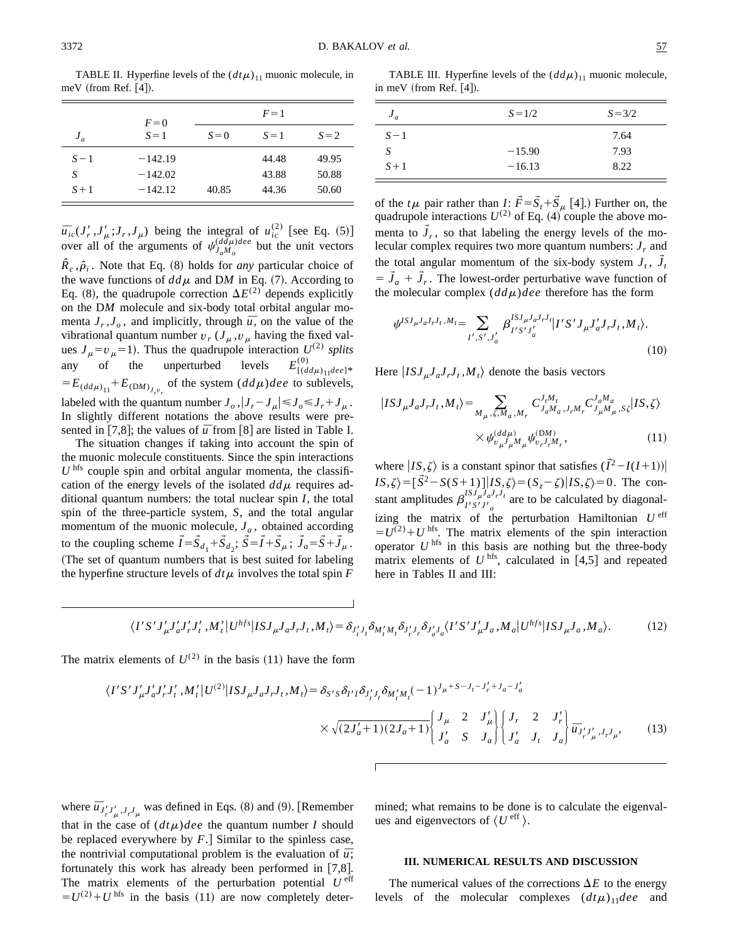TABLE II. Hyperfine levels of the  $(dt\mu)_{11}$  muonic molecule, in meV (from Ref.  $[4]$ ).

|       | $F=0$     |       | $F=1$ |         |
|-------|-----------|-------|-------|---------|
| $J_a$ | $S=1$     | $S=0$ | $S=1$ | $S = 2$ |
| $S-1$ | $-142.19$ |       | 44.48 | 49.95   |
| S     | $-142.02$ |       | 43.88 | 50.88   |
| $S+1$ | $-142.12$ | 40.85 | 44.36 | 50.60   |

 $\bar{u}_{ic}(J'_r, J'_\mu; J_r, J_\mu)$  being the integral of  $u_{ic}^{(2)}$  [see Eq. (5)] over all of the arguments of  $\psi_{J_oM_o}^{(dd\mu)dee}$  but the unit vectors  $\hat{R}_c$ , $\hat{\rho}_i$ . Note that Eq. (8) holds for *any* particular choice of the wave functions of  $dd\mu$  and DM in Eq. (7). According to Eq. (8), the quadrupole correction  $\Delta E^{(2)}$  depends explicitly on the D*M* molecule and six-body total orbital angular momenta  $J_r$ ,  $J_o$ , and implicitly, through  $\bar{u}$ , on the value of the vibrational quantum number  $v_r$  ( $J_\mu$ , $v_\mu$  having the fixed values  $J_\mu = v_\mu = 1$ ). Thus the quadrupole interaction  $U^{(2)}$  *splits* any of the unperturbed levels  $E^{(0)}_{[(dd\mu)_{11}dee]^*}$  $=E_{(dd\mu)} + E_{(DM)}$ <sub>*J<sub>r</sub>*</sub><sup>*v*</sup><sub>*r*</sub></sub> of the system  $(dd\mu)$ *dee* to sublevels, labeled with the quantum number  $J_o$ ,  $|J_r - J_\mu| \leq J_o \leq J_r + J_\mu$ . In slightly different notations the above results were presented in [7,8]; the values of  $\bar{u}$  from [8] are listed in Table I.

The situation changes if taking into account the spin of the muonic molecule constituents. Since the spin interactions  $U<sup>hfs</sup>$  couple spin and orbital angular momenta, the classification of the energy levels of the isolated  $dd\mu$  requires additional quantum numbers: the total nuclear spin *I*, the total spin of the three-particle system, *S*, and the total angular momentum of the muonic molecule,  $J_a$ , obtained according to the coupling scheme  $\vec{I} = \vec{S}_{d_1} + \vec{S}_{d_2}$ ;  $\vec{S} = \vec{I} + \vec{S}_{\mu}$ ;  $\vec{J}_a = \vec{S} + \vec{J}_{\mu}$ . (The set of quantum numbers that is best suited for labeling the hyperfine structure levels of  $dt\mu$  involves the total spin *F* 

TABLE III. Hyperfine levels of the  $(dd\mu)_{11}$  muonic molecule, in meV (from Ref.  $[4]$ ).

| $J_a$ | $S = 1/2$ | $S = 3/2$ |
|-------|-----------|-----------|
| $S-1$ |           | 7.64      |
| S     | $-15.90$  | 7.93      |
| $S+1$ | $-16.13$  | 8.22      |

of the  $t\mu$  pair rather than *I*:  $\vec{F} = \vec{S}_t + \vec{S}_\mu$  [4].) Further on, the quadrupole interactions  $U^{(2)}$  of Eq. (4) couple the above momenta to  $J_r$ , so that labeling the energy levels of the molecular complex requires two more quantum numbers:  $J_r$  and the total angular momentum of the six-body system  $J_t$ ,  $\tilde{J}_t$  $= \tilde{J}_a + \tilde{J}_r$ . The lowest-order perturbative wave function of the molecular complex  $(dd\mu)$ *dee* therefore has the form

$$
\psi^{ISJ_{\mu}J_{a}J_{r}J_{t},M_{t}} = \sum_{I',S',J'_{a}} \beta_{I'S'J'_{a}}^{ISJ_{\mu}J_{a}J_{r}J_{l}} |I'S'J_{\mu}J'_{a}J_{r}J_{t},M_{t}\rangle.
$$
\n(10)

Here  $|ISJ_{\mu}J_{a}J_{r}J_{t}, M_{t}\rangle$  denote the basis vectors

$$
|ISJ_{\mu}J_{a}J_{r}J_{t},M_{t}\rangle = \sum_{M_{\mu},\zeta,M_{a},M_{r}} C_{J_{a}M_{a},J_{r}M_{r}}^{J_{t}M_{t}} C_{J_{\mu}M_{\mu},S\zeta}^{J_{a}M_{a}}|IS,\zeta\rangle
$$

$$
\times \psi_{\upsilon_{\mu}J_{\mu}M_{\mu}}^{(d d \mu)} \psi_{\upsilon,r,M_{r}}^{(DM)}, \qquad (11)
$$

where  $|IS,\zeta\rangle$  is a constant spinor that satisfies  $(\vec{I}^2-I(I+1))$  $IS,\zeta$ ) =  $\left[\vec{S}^2 - S(S+1)\right]$  $\left|IS,\zeta\right> = (S_z - \zeta)\left|IS,\zeta\right> = 0$ . The constant amplitudes  $\beta_{I'S'J'_a}^{ISJ'_aJ'_bJ'_f}$  are to be calculated by diagonalizing the matrix of the perturbation Hamiltonian  $U^{\text{eff}}$  $=U^{(2)}+U$  hfs. The matrix elements of the spin interaction operator  $U$ <sup>hfs</sup> in this basis are nothing but the three-body matrix elements of  $U<sup>hfs</sup>$ , calculated in  $[4,5]$  and repeated here in Tables II and III:

$$
\langle I'S'J'_{\mu}J'_{a}J'_{r}J'_{r}, M'_{t}|U^{hfs}|ISJ_{\mu}J_{a}J_{r}J_{t}, M_{t}\rangle = \delta_{J'_{t}J_{t}}\delta_{M'_{t}M_{t}}\delta_{J'_{r}J_{r}}\delta_{J'_{a}J_{a}}\langle I'S'J'_{\mu}J_{a}, M_{a}|U^{hfs}|ISJ_{\mu}J_{a}, M_{a}\rangle.
$$
 (12)

The matrix elements of  $U^{(2)}$  in the basis (11) have the form

$$
\langle I'S'J'_{\mu}J'_{a}J'_{r}J'_{t}, M'_{t}|U^{(2)}|ISJ_{\mu}J_{a}J_{r}J_{t}, M_{t}\rangle = \delta_{S'S}\delta_{I'I}\delta_{J'_{t}J_{t}}\delta_{M'_{t}M_{t}}(-1)^{J_{\mu}+S-J_{t}-J'_{r}+J_{a}-J'_{a}}
$$

$$
\times \sqrt{(2J'_{a}+1)(2J_{a}+1)} \begin{bmatrix} J_{\mu} & 2 & J'_{\mu} \\ J'_{a} & S & J_{a} \end{bmatrix} \begin{bmatrix} J_{r} & 2 & J'_{r} \\ J'_{a} & J_{t} & J_{a} \end{bmatrix} \overline{u}_{J'_{r}J'_{\mu},J_{r}J_{\mu}}, \qquad (13)
$$

where  $\bar{u}_{J'_r J'_\mu, J_r J_\mu}$  was defined in Eqs. (8) and (9). [Remember that in the case of  $(d t \mu)$  *dee* the quantum number *I* should be replaced everywhere by  $F$ . Similar to the spinless case, the nontrivial computational problem is the evaluation of  $\bar{u}$ ; fortunately this work has already been performed in  $[7,8]$ . The matrix elements of the perturbation potential  $U^{\text{eff}}$  $=U^{(2)}+U$  hfs in the basis (11) are now completely deter-

mined; what remains to be done is to calculate the eigenvalues and eigenvectors of  $\langle U^{\text{eff}} \rangle$ .

## **III. NUMERICAL RESULTS AND DISCUSSION**

The numerical values of the corrections  $\Delta E$  to the energy levels of the molecular complexes  $(d t \mu)_{11}$ *dee* and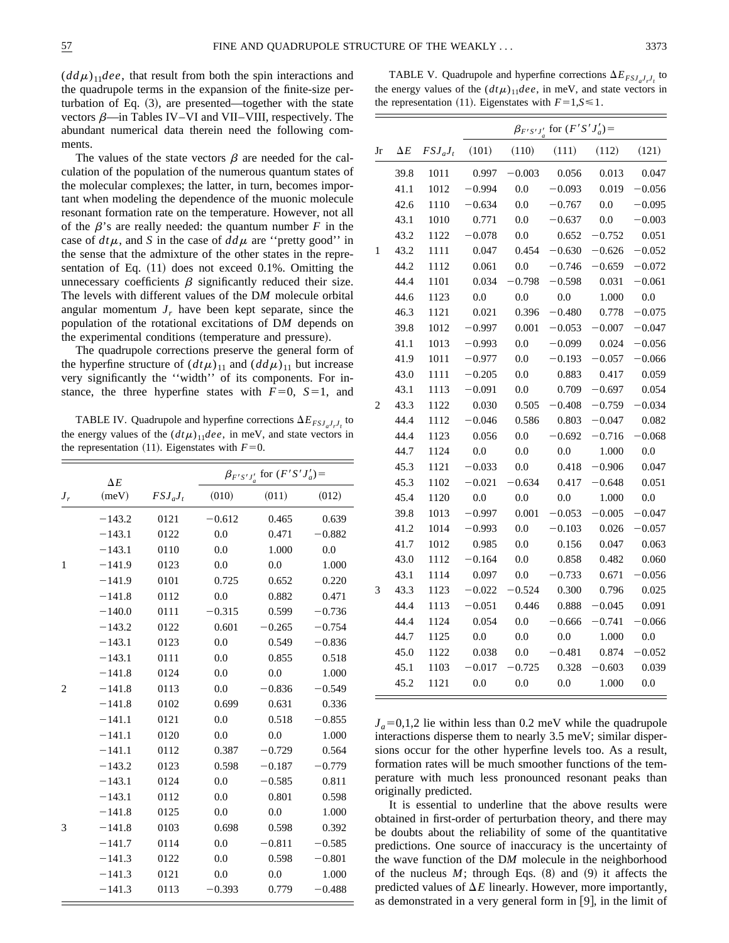$(dd\mu)_{11}$ *dee*, that result from both the spin interactions and the quadrupole terms in the expansion of the finite-size perturbation of Eq.  $(3)$ , are presented—together with the state vectors  $\beta$ —in Tables IV–VI and VII–VIII, respectively. The abundant numerical data therein need the following comments.

The values of the state vectors  $\beta$  are needed for the calculation of the population of the numerous quantum states of the molecular complexes; the latter, in turn, becomes important when modeling the dependence of the muonic molecule resonant formation rate on the temperature. However, not all of the  $\beta$ 's are really needed: the quantum number *F* in the case of  $dt\mu$ , and *S* in the case of  $dd\mu$  are "pretty good" in the sense that the admixture of the other states in the representation of Eq.  $(11)$  does not exceed 0.1%. Omitting the unnecessary coefficients  $\beta$  significantly reduced their size. The levels with different values of the D*M* molecule orbital angular momentum  $J_r$  have been kept separate, since the population of the rotational excitations of D*M* depends on the experimental conditions (temperature and pressure).

The quadrupole corrections preserve the general form of the hyperfine structure of  $(dt\mu)_{11}$  and  $(dd\mu)_{11}$  but increase very significantly the ''width'' of its components. For instance, the three hyperfine states with  $F=0$ ,  $S=1$ , and

TABLE IV. Quadrupole and hyperfine corrections  $\Delta E_{FSJ_aJ_rJ_t}$  to the energy values of the  $(dt\mu)_{11}$ *dee*, in meV, and state vectors in the representation  $(11)$ . Eigenstates with  $F=0$ .

|                | $\Delta E$ |            | $\beta_{F'S'J'_a}$ for $(F'S'J'_a)$ = |          |          |  |
|----------------|------------|------------|---------------------------------------|----------|----------|--|
| $J_r$          | (meV)      | $FSJ_aJ_t$ | (010)                                 | (011)    | (012)    |  |
|                | $-143.2$   | 0121       | $-0.612$                              | 0.465    | 0.639    |  |
|                | $-143.1$   | 0122       | 0.0                                   | 0.471    | $-0.882$ |  |
|                | $-143.1$   | 0110       | 0.0                                   | 1.000    | 0.0      |  |
| $\mathbf{1}$   | $-141.9$   | 0123       | 0.0                                   | 0.0      | 1.000    |  |
|                | $-141.9$   | 0101       | 0.725                                 | 0.652    | 0.220    |  |
|                | $-141.8$   | 0112       | 0.0                                   | 0.882    | 0.471    |  |
|                | $-140.0$   | 0111       | $-0.315$                              | 0.599    | $-0.736$ |  |
|                | $-143.2$   | 0122       | 0.601                                 | $-0.265$ | $-0.754$ |  |
|                | $-143.1$   | 0123       | 0.0                                   | 0.549    | $-0.836$ |  |
|                | $-143.1$   | 0111       | 0.0                                   | 0.855    | 0.518    |  |
|                | $-141.8$   | 0124       | 0.0                                   | 0.0      | 1.000    |  |
| $\overline{2}$ | $-141.8$   | 0113       | 0.0                                   | $-0.836$ | $-0.549$ |  |
|                | $-141.8$   | 0102       | 0.699                                 | 0.631    | 0.336    |  |
|                | $-141.1$   | 0121       | 0.0                                   | 0.518    | $-0.855$ |  |
|                | $-141.1$   | 0120       | 0.0                                   | 0.0      | 1.000    |  |
|                | $-141.1$   | 0112       | 0.387                                 | $-0.729$ | 0.564    |  |
|                | $-143.2$   | 0123       | 0.598                                 | $-0.187$ | $-0.779$ |  |
|                | $-143.1$   | 0124       | 0.0                                   | $-0.585$ | 0.811    |  |
|                | $-143.1$   | 0112       | 0.0                                   | 0.801    | 0.598    |  |
|                | $-141.8$   | 0125       | 0.0                                   | 0.0      | 1.000    |  |
| 3              | $-141.8$   | 0103       | 0.698                                 | 0.598    | 0.392    |  |
|                | $-141.7$   | 0114       | 0.0                                   | $-0.811$ | $-0.585$ |  |
|                | $-141.3$   | 0122       | 0.0                                   | 0.598    | $-0.801$ |  |
|                | $-141.3$   | 0121       | 0.0                                   | 0.0      | 1.000    |  |
|                | $-141.3$   | 0113       | $-0.393$                              | 0.779    | $-0.488$ |  |

TABLE V. Quadrupole and hyperfine corrections  $\Delta E_{FSJ,J,J}$  to the energy values of the  $(dt\mu)_{11}$ *dee*, in meV, and state vectors in the representation (11). Eigenstates with  $F=1, S \le 1$ .

|                |            |            |          |          | $\beta_{F'S'I'}$ for $(F'S'J'_a)$ = |          |          |
|----------------|------------|------------|----------|----------|-------------------------------------|----------|----------|
| ${\rm Jr}$     | $\Delta E$ | $FSJ_aJ_t$ | (101)    | (110)    | (111)                               | (112)    | (121)    |
|                | 39.8       | 1011       | 0.997    | $-0.003$ | 0.056                               | 0.013    | 0.047    |
|                | 41.1       | 1012       | $-0.994$ | 0.0      | $-0.093$                            | 0.019    | $-0.056$ |
|                | 42.6       | 1110       | $-0.634$ | 0.0      | $-0.767$                            | 0.0      | $-0.095$ |
|                | 43.1       | 1010       | 0.771    | 0.0      | $-0.637$                            | 0.0      | $-0.003$ |
|                | 43.2       | 1122       | $-0.078$ | 0.0      | 0.652                               | $-0.752$ | 0.051    |
| 1              | 43.2       | 1111       | 0.047    | 0.454    | $-0.630$                            | $-0.626$ | $-0.052$ |
|                | 44.2       | 1112       | 0.061    | 0.0      | $-0.746$                            | $-0.659$ | $-0.072$ |
|                | 44.4       | 1101       | 0.034    | $-0.798$ | $-0.598$                            | 0.031    | $-0.061$ |
|                | 44.6       | 1123       | 0.0      | 0.0      | 0.0                                 | 1.000    | 0.0      |
|                | 46.3       | 1121       | 0.021    | 0.396    | $-0.480$                            | 0.778    | $-0.075$ |
|                | 39.8       | 1012       | $-0.997$ | 0.001    | $-0.053$                            | $-0.007$ | $-0.047$ |
|                | 41.1       | 1013       | $-0.993$ | 0.0      | $-0.099$                            | 0.024    | $-0.056$ |
|                | 41.9       | 1011       | $-0.977$ | 0.0      | $-0.193$                            | $-0.057$ | $-0.066$ |
|                | 43.0       | 1111       | $-0.205$ | 0.0      | 0.883                               | 0.417    | 0.059    |
|                | 43.1       | 1113       | $-0.091$ | 0.0      | 0.709                               | $-0.697$ | 0.054    |
| $\overline{2}$ | 43.3       | 1122       | 0.030    | 0.505    | $-0.408$                            | $-0.759$ | $-0.034$ |
|                | 44.4       | 1112       | $-0.046$ | 0.586    | 0.803                               | $-0.047$ | 0.082    |
|                | 44.4       | 1123       | 0.056    | 0.0      | $-0.692$                            | $-0.716$ | $-0.068$ |
|                | 44.7       | 1124       | 0.0      | 0.0      | 0.0                                 | 1.000    | 0.0      |
|                | 45.3       | 1121       | $-0.033$ | 0.0      | 0.418                               | $-0.906$ | 0.047    |
|                | 45.3       | 1102       | $-0.021$ | $-0.634$ | 0.417                               | $-0.648$ | 0.051    |
|                | 45.4       | 1120       | 0.0      | 0.0      | 0.0                                 | 1.000    | 0.0      |
|                | 39.8       | 1013       | $-0.997$ | 0.001    | $-0.053$                            | $-0.005$ | $-0.047$ |
|                | 41.2       | 1014       | $-0.993$ | 0.0      | $-0.103$                            | 0.026    | $-0.057$ |
|                | 41.7       | 1012       | 0.985    | 0.0      | 0.156                               | 0.047    | 0.063    |
|                | 43.0       | 1112       | $-0.164$ | 0.0      | 0.858                               | 0.482    | 0.060    |
|                | 43.1       | 1114       | 0.097    | 0.0      | $-0.733$                            | 0.671    | $-0.056$ |
| 3              | 43.3       | 1123       | $-0.022$ | $-0.524$ | 0.300                               | 0.796    | 0.025    |
|                | 44.4       | 1113       | $-0.051$ | 0.446    | 0.888                               | $-0.045$ | 0.091    |
|                | 44.4       | 1124       | 0.054    | 0.0      | $-0.666$                            | $-0.741$ | $-0.066$ |
|                | 44.7       | 1125       | 0.0      | 0.0      | 0.0                                 | 1.000    | 0.0      |
|                | 45.0       | 1122       | 0.038    | 0.0      | $-0.481$                            | 0.874    | $-0.052$ |
|                | 45.1       | 1103       | $-0.017$ | $-0.725$ | 0.328                               | $-0.603$ | 0.039    |
|                | 45.2       | 1121       | 0.0      | 0.0      | 0.0                                 | 1.000    | 0.0      |
|                |            |            |          |          |                                     |          |          |

 $J_a=0,1,2$  lie within less than 0.2 meV while the quadrupole interactions disperse them to nearly 3.5 meV; similar dispersions occur for the other hyperfine levels too. As a result, formation rates will be much smoother functions of the temperature with much less pronounced resonant peaks than originally predicted.

It is essential to underline that the above results were obtained in first-order of perturbation theory, and there may be doubts about the reliability of some of the quantitative predictions. One source of inaccuracy is the uncertainty of the wave function of the D*M* molecule in the neighborhood of the nucleus  $M$ ; through Eqs.  $(8)$  and  $(9)$  it affects the predicted values of  $\Delta E$  linearly. However, more importantly, as demonstrated in a very general form in  $[9]$ , in the limit of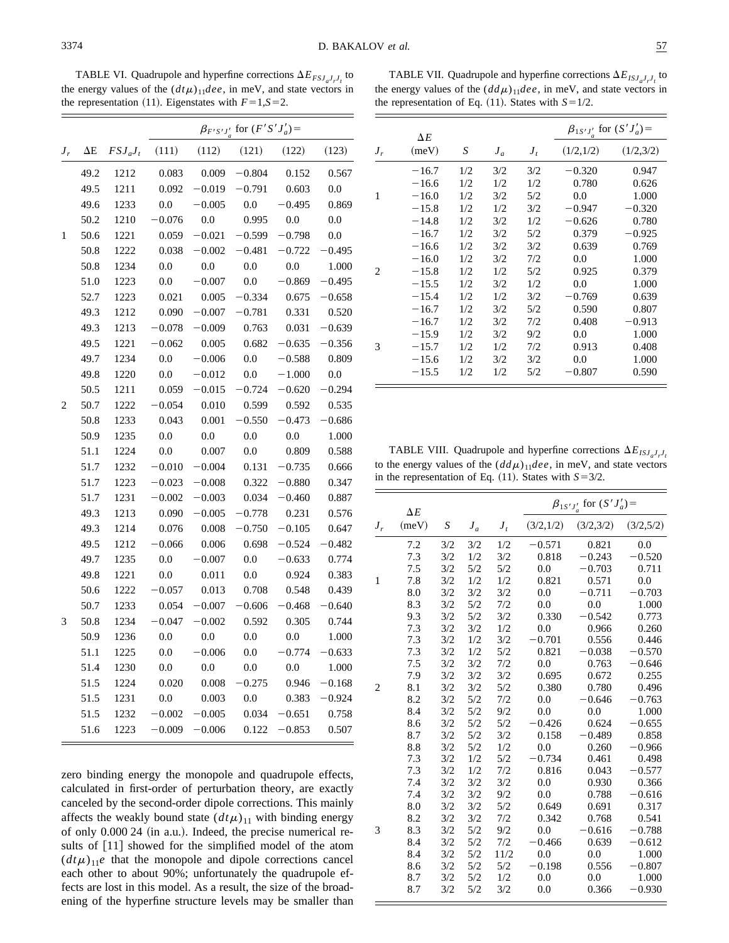TABLE VI. Quadrupole and hyperfine corrections  $\Delta E_{FSJ_aJ_rJ_t}$  to the energy values of the  $(dt\mu)_{11}$ *dee*, in meV, and state vectors in the representation (11). Eigenstates with  $F=1, S=2$ .

|           |            |            | $\beta_{F'S'J'_a}$ for $(F'S'J'_a)$ = |          |          |          |          |  |
|-----------|------------|------------|---------------------------------------|----------|----------|----------|----------|--|
| $J_{\,r}$ | $\Delta E$ | $FSJ_aJ_t$ | (111)                                 | (112)    | (121)    | (122)    | (123)    |  |
|           | 49.2       | 1212       | 0.083                                 | 0.009    | $-0.804$ | 0.152    | 0.567    |  |
|           | 49.5       | 1211       | 0.092                                 | $-0.019$ | $-0.791$ | 0.603    | 0.0      |  |
|           | 49.6       | 1233       | 0.0                                   | $-0.005$ | 0.0      | $-0.495$ | 0.869    |  |
|           | 50.2       | 1210       | $-0.076$                              | 0.0      | 0.995    | 0.0      | 0.0      |  |
| 1         | 50.6       | 1221       | 0.059                                 | $-0.021$ | $-0.599$ | $-0.798$ | 0.0      |  |
|           | 50.8       | 1222       | 0.038                                 | $-0.002$ | $-0.481$ | $-0.722$ | $-0.495$ |  |
|           | 50.8       | 1234       | 0.0                                   | 0.0      | 0.0      | 0.0      | 1.000    |  |
|           | 51.0       | 1223       | 0.0                                   | $-0.007$ | 0.0      | $-0.869$ | $-0.495$ |  |
|           | 52.7       | 1223       | 0.021                                 | 0.005    | $-0.334$ | 0.675    | $-0.658$ |  |
|           | 49.3       | 1212       | 0.090                                 | $-0.007$ | $-0.781$ | 0.331    | 0.520    |  |
|           | 49.3       | 1213       | $-0.078$                              | $-0.009$ | 0.763    | 0.031    | $-0.639$ |  |
|           | 49.5       | 1221       | $-0.062$                              | 0.005    | 0.682    | $-0.635$ | $-0.356$ |  |
|           | 49.7       | 1234       | 0.0                                   | $-0.006$ | 0.0      | $-0.588$ | 0.809    |  |
|           | 49.8       | 1220       | 0.0                                   | $-0.012$ | 0.0      | $-1.000$ | 0.0      |  |
|           | 50.5       | 1211       | 0.059                                 | $-0.015$ | $-0.724$ | $-0.620$ | $-0.294$ |  |
| 2         | 50.7       | 1222       | $-0.054$                              | 0.010    | 0.599    | 0.592    | 0.535    |  |
|           | 50.8       | 1233       | 0.043                                 | 0.001    | $-0.550$ | $-0.473$ | $-0.686$ |  |
|           | 50.9       | 1235       | 0.0                                   | 0.0      | 0.0      | 0.0      | 1.000    |  |
|           | 51.1       | 1224       | 0.0                                   | 0.007    | 0.0      | 0.809    | 0.588    |  |
|           | 51.7       | 1232       | $-0.010$                              | $-0.004$ | 0.131    | $-0.735$ | 0.666    |  |
|           | 51.7       | 1223       | $-0.023$                              | $-0.008$ | 0.322    | $-0.880$ | 0.347    |  |
|           | 51.7       | 1231       | $-0.002$                              | $-0.003$ | 0.034    | $-0.460$ | 0.887    |  |
|           | 49.3       | 1213       | 0.090                                 | $-0.005$ | $-0.778$ | 0.231    | 0.576    |  |
|           | 49.3       | 1214       | 0.076                                 | 0.008    | $-0.750$ | $-0.105$ | 0.647    |  |
|           | 49.5       | 1212       | $-0.066$                              | 0.006    | 0.698    | $-0.524$ | $-0.482$ |  |
|           | 49.7       | 1235       | 0.0                                   | $-0.007$ | 0.0      | $-0.633$ | 0.774    |  |
|           | 49.8       | 1221       | 0.0                                   | 0.011    | 0.0      | 0.924    | 0.383    |  |
|           | 50.6       | 1222       | $-0.057$                              | 0.013    | 0.708    | 0.548    | 0.439    |  |
|           | 50.7       | 1233       | 0.054                                 | $-0.007$ | $-0.606$ | $-0.468$ | $-0.640$ |  |
| 3         | 50.8       | 1234       | $-0.047$                              | $-0.002$ | 0.592    | 0.305    | 0.744    |  |
|           | 50.9       | 1236       | 0.0                                   | 0.0      | 0.0      | 0.0      | 1.000    |  |
|           | 51.1       | 1225       | 0.0                                   | $-0.006$ | 0.0      | $-0.774$ | $-0.633$ |  |
|           | 51.4       | 1230       | 0.0                                   | 0.0      | 0.0      | 0.0      | 1.000    |  |
|           | 51.5       | 1224       | 0.020                                 | 0.008    | $-0.275$ | 0.946    | $-0.168$ |  |
|           | 51.5       | 1231       | 0.0                                   | 0.003    | 0.0      | 0.383    | $-0.924$ |  |
|           | 51.5       | 1232       | $-0.002$                              | $-0.005$ | 0.034    | $-0.651$ | 0.758    |  |
|           | 51.6       | 1223       | $-0.009$                              | $-0.006$ | 0.122    | $-0.853$ | 0.507    |  |

zero binding energy the monopole and quadrupole effects, calculated in first-order of perturbation theory, are exactly canceled by the second-order dipole corrections. This mainly affects the weakly bound state  $(dt\mu)_{11}$  with binding energy of only  $0.00024$  (in a.u.). Indeed, the precise numerical results of [11] showed for the simplified model of the atom  $(dt\mu)_{11}e$  that the monopole and dipole corrections cancel each other to about 90%; unfortunately the quadrupole effects are lost in this model. As a result, the size of the broadening of the hyperfine structure levels may be smaller than

TABLE VII. Quadrupole and hyperfine corrections  $\Delta E_{ISJ_aJ_rJ_t}$  to the energy values of the  $(dd\mu)_{11}$ *dee*, in meV, and state vectors in the representation of Eq.  $(11)$ . States with  $S=1/2$ .

|                               | $\Delta E$ |     |       |       | $\beta_{1S'J'}$ for $(S'J'_a)$ = |           |
|-------------------------------|------------|-----|-------|-------|----------------------------------|-----------|
| $J_r$                         | (meV)      | S   | $J_a$ | $J_t$ | (1/2,1/2)                        | (1/2,3/2) |
|                               | $-16.7$    | 1/2 | 3/2   | 3/2   | $-0.320$                         | 0.947     |
|                               | $-16.6$    | 1/2 | 1/2   | 1/2   | 0.780                            | 0.626     |
| 1                             | $-16.0$    | 1/2 | 3/2   | 5/2   | 0.0                              | 1.000     |
|                               | $-15.8$    | 1/2 | 1/2   | 3/2   | $-0.947$                         | $-0.320$  |
|                               | $-14.8$    | 1/2 | 3/2   | 1/2   | $-0.626$                         | 0.780     |
|                               | $-16.7$    | 1/2 | 3/2   | 5/2   | 0.379                            | $-0.925$  |
|                               | $-16.6$    | 1/2 | 3/2   | 3/2   | 0.639                            | 0.769     |
|                               | $-16.0$    | 1/2 | 3/2   | 7/2   | 0.0                              | 1.000     |
| $\mathfrak{D}_{\mathfrak{p}}$ | $-15.8$    | 1/2 | 1/2   | 5/2   | 0.925                            | 0.379     |
|                               | $-15.5$    | 1/2 | 3/2   | 1/2   | 0.0                              | 1.000     |
|                               | $-15.4$    | 1/2 | 1/2   | 3/2   | $-0.769$                         | 0.639     |
|                               | $-16.7$    | 1/2 | 3/2   | 5/2   | 0.590                            | 0.807     |
|                               | $-16.7$    | 1/2 | 3/2   | 7/2   | 0.408                            | $-0.913$  |
|                               | $-15.9$    | 1/2 | 3/2   | 9/2   | 0.0                              | 1.000     |
| 3                             | $-15.7$    | 1/2 | 1/2   | 7/2   | 0.913                            | 0.408     |
|                               | $-15.6$    | 1/2 | 3/2   | 3/2   | 0.0                              | 1.000     |
|                               | $-15.5$    | 1/2 | 1/2   | 5/2   | $-0.807$                         | 0.590     |

TABLE VIII. Quadrupole and hyperfine corrections  $\Delta E_{ISJ_aJ_rJ_t}$ to the energy values of the  $(dd\mu)_{11}$ *dee*, in meV, and state vectors in the representation of Eq.  $(11)$ . States with  $S=3/2$ .

| $\Delta E$<br>(meV)<br>S<br>(3/2,1/2)<br>(3/2,3/2)<br>$J_t$<br>$J_r$<br>$J_a$<br>3/2<br>1/2<br>3/2<br>7.2<br>$-0.571$<br>0.821<br>7.3<br>1/2<br>3/2<br>3/2<br>0.818<br>$-0.243$<br>7.5<br>3/2<br>5/2<br>5/2<br>0.0<br>$-0.703$<br>1/2<br>7.8<br>1/2<br>0.571<br>1<br>3/2<br>0.821<br>8.0<br>3/2<br>3/2<br>3/2<br>$-0.711$<br>0.0<br>5/2<br>8.3<br>3/2<br>7/2<br>0.0<br>0.0<br>5/2<br>9.3<br>3/2<br>3/2<br>$-0.542$<br>0.330<br>7.3<br>3/2<br>1/2<br>3/2<br>0.0<br>0.966<br>7.3<br>1/2<br>3/2<br>$-0.701$<br>0.556<br>3/2<br>7.3<br>1/2<br>5/2<br>3/2<br>0.821<br>$-0.038$<br>7.5<br>3/2<br>3/2<br>7/2<br>0.0<br>0.763<br>3/2<br>3/2<br>7.9<br>3/2<br>0.695<br>0.672<br>3/2<br>5/2<br>8.1<br>3/2<br>0.380<br>0.780<br>$\overline{c}$<br>5/2<br>7/2<br>8.2<br>3/2<br>0.0<br>$-0.646$<br>5/2<br>8.4<br>3/2<br>9/2<br>0.0<br>0.0<br>8.6<br>5/2<br>5/2<br>0.624<br>3/2<br>$-0.426$<br>8.7<br>5/2<br>3/2<br>$-0.489$<br>3/2<br>0.158 | (3/2,5/2)<br>0.0<br>$-0.520$<br>0.711 |
|--------------------------------------------------------------------------------------------------------------------------------------------------------------------------------------------------------------------------------------------------------------------------------------------------------------------------------------------------------------------------------------------------------------------------------------------------------------------------------------------------------------------------------------------------------------------------------------------------------------------------------------------------------------------------------------------------------------------------------------------------------------------------------------------------------------------------------------------------------------------------------------------------------------------------------|---------------------------------------|
|                                                                                                                                                                                                                                                                                                                                                                                                                                                                                                                                                                                                                                                                                                                                                                                                                                                                                                                                |                                       |
|                                                                                                                                                                                                                                                                                                                                                                                                                                                                                                                                                                                                                                                                                                                                                                                                                                                                                                                                |                                       |
|                                                                                                                                                                                                                                                                                                                                                                                                                                                                                                                                                                                                                                                                                                                                                                                                                                                                                                                                |                                       |
|                                                                                                                                                                                                                                                                                                                                                                                                                                                                                                                                                                                                                                                                                                                                                                                                                                                                                                                                |                                       |
|                                                                                                                                                                                                                                                                                                                                                                                                                                                                                                                                                                                                                                                                                                                                                                                                                                                                                                                                | 0.0                                   |
|                                                                                                                                                                                                                                                                                                                                                                                                                                                                                                                                                                                                                                                                                                                                                                                                                                                                                                                                | $-0.703$                              |
|                                                                                                                                                                                                                                                                                                                                                                                                                                                                                                                                                                                                                                                                                                                                                                                                                                                                                                                                | 1.000                                 |
|                                                                                                                                                                                                                                                                                                                                                                                                                                                                                                                                                                                                                                                                                                                                                                                                                                                                                                                                | 0.773                                 |
|                                                                                                                                                                                                                                                                                                                                                                                                                                                                                                                                                                                                                                                                                                                                                                                                                                                                                                                                | 0.260                                 |
|                                                                                                                                                                                                                                                                                                                                                                                                                                                                                                                                                                                                                                                                                                                                                                                                                                                                                                                                | 0.446                                 |
|                                                                                                                                                                                                                                                                                                                                                                                                                                                                                                                                                                                                                                                                                                                                                                                                                                                                                                                                | $-0.570$                              |
|                                                                                                                                                                                                                                                                                                                                                                                                                                                                                                                                                                                                                                                                                                                                                                                                                                                                                                                                | $-0.646$                              |
|                                                                                                                                                                                                                                                                                                                                                                                                                                                                                                                                                                                                                                                                                                                                                                                                                                                                                                                                | 0.255                                 |
|                                                                                                                                                                                                                                                                                                                                                                                                                                                                                                                                                                                                                                                                                                                                                                                                                                                                                                                                | 0.496                                 |
|                                                                                                                                                                                                                                                                                                                                                                                                                                                                                                                                                                                                                                                                                                                                                                                                                                                                                                                                | $-0.763$                              |
|                                                                                                                                                                                                                                                                                                                                                                                                                                                                                                                                                                                                                                                                                                                                                                                                                                                                                                                                | 1.000                                 |
|                                                                                                                                                                                                                                                                                                                                                                                                                                                                                                                                                                                                                                                                                                                                                                                                                                                                                                                                | $-0.655$                              |
|                                                                                                                                                                                                                                                                                                                                                                                                                                                                                                                                                                                                                                                                                                                                                                                                                                                                                                                                | 0.858                                 |
| 8.8<br>5/2<br>1/2<br>3/2<br>0.260<br>0.0                                                                                                                                                                                                                                                                                                                                                                                                                                                                                                                                                                                                                                                                                                                                                                                                                                                                                       | $-0.966$                              |
| 1/2<br>7.3<br>5/2<br>3/2<br>$-0.734$<br>0.461                                                                                                                                                                                                                                                                                                                                                                                                                                                                                                                                                                                                                                                                                                                                                                                                                                                                                  | 0.498                                 |
| 7.3<br>1/2<br>7/2<br>3/2<br>0.816<br>0.043                                                                                                                                                                                                                                                                                                                                                                                                                                                                                                                                                                                                                                                                                                                                                                                                                                                                                     | $-0.577$                              |
| 7.4<br>3/2<br>3/2<br>3/2<br>0.0<br>0.930                                                                                                                                                                                                                                                                                                                                                                                                                                                                                                                                                                                                                                                                                                                                                                                                                                                                                       | 0.366                                 |
| 3/2<br>3/2<br>7.4<br>9/2<br>0.0<br>0.788                                                                                                                                                                                                                                                                                                                                                                                                                                                                                                                                                                                                                                                                                                                                                                                                                                                                                       | $-0.616$                              |
| 8.0<br>3/2<br>3/2<br>5/2<br>0.649<br>0.691                                                                                                                                                                                                                                                                                                                                                                                                                                                                                                                                                                                                                                                                                                                                                                                                                                                                                     | 0.317                                 |
| 8.2<br>3/2<br>7/2<br>3/2<br>0.342<br>0.768                                                                                                                                                                                                                                                                                                                                                                                                                                                                                                                                                                                                                                                                                                                                                                                                                                                                                     | 0.541                                 |
| 8.3<br>5/2<br>9/2<br>3<br>3/2<br>0.0<br>$-0.616$                                                                                                                                                                                                                                                                                                                                                                                                                                                                                                                                                                                                                                                                                                                                                                                                                                                                               | $-0.788$                              |
| 5/2<br>8.4<br>3/2<br>7/2<br>$-0.466$<br>0.639                                                                                                                                                                                                                                                                                                                                                                                                                                                                                                                                                                                                                                                                                                                                                                                                                                                                                  | $-0.612$                              |
| 8.4<br>5/2<br>11/2<br>3/2<br>0.0<br>0.0                                                                                                                                                                                                                                                                                                                                                                                                                                                                                                                                                                                                                                                                                                                                                                                                                                                                                        | 1.000                                 |
| 5/2<br>5/2<br>0.556<br>8.6<br>3/2<br>$-0.198$                                                                                                                                                                                                                                                                                                                                                                                                                                                                                                                                                                                                                                                                                                                                                                                                                                                                                  | $-0.807$                              |
| 5/2<br>8.7<br>3/2<br>1/2<br>0.0<br>0.0                                                                                                                                                                                                                                                                                                                                                                                                                                                                                                                                                                                                                                                                                                                                                                                                                                                                                         | 1.000                                 |
| 5/2<br>3/2<br>8.7<br>3/2<br>0.0<br>0.366                                                                                                                                                                                                                                                                                                                                                                                                                                                                                                                                                                                                                                                                                                                                                                                                                                                                                       | $-0.930$                              |